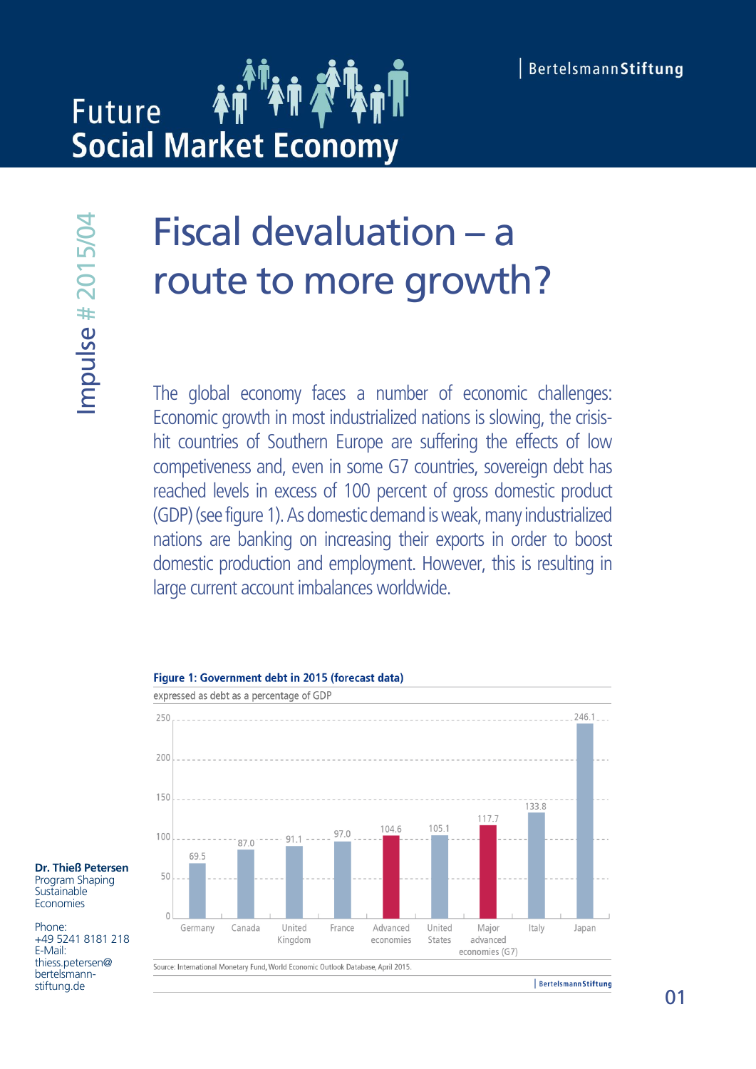# **Future Social Market Economy**

# Fiscal devaluation – a route to more growth?

The global economy faces a number of economic challenges: Economic growth in most industrialized nations is slowing, the crisishit countries of Southern Europe are suffering the effects of low competiveness and, even in some G7 countries, sovereign debt has reached levels in excess of 100 percent of gross domestic product (GDP) (see figure 1). As domestic demand is weak, many industrialized nations are banking on increasing their exports in order to boost domestic production and employment. However, this is resulting in **FISCAI DEVAIUATIOM**<br> **COUTE TO MOTE DITE:**<br>
The global economy faces a number of<br>
Economic growth in most industrialized nation<br>
int countries of Southern Europe are suffer<br>
competiveness and, even in some G7 count<br>
reach



#### **Dr. Thieß Petersen** Program Shaping **Sustainable** Economies

Phone: +49 5241 8181 218 E-Mail: thiess.petersen@ bertelsmannstiftung.de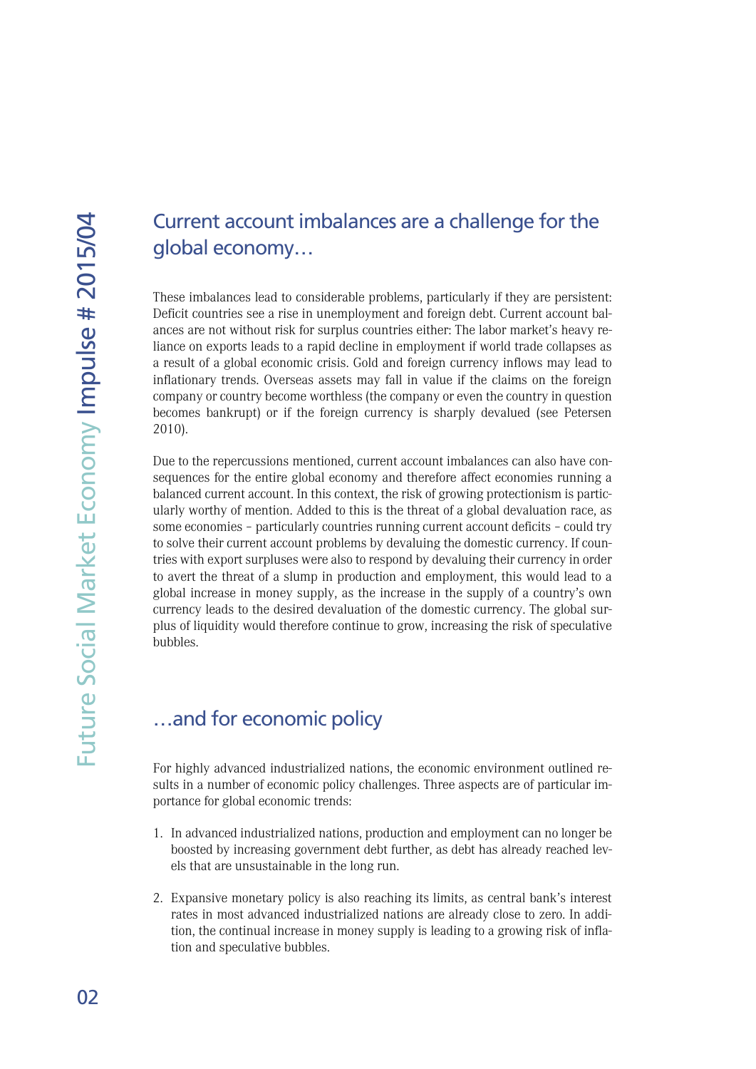# Current account imbalances are a challenge for the global economy…

These imbalances lead to considerable problems, particularly if they are persistent: Deficit countries see a rise in unemployment and foreign debt. Current account balances are not without risk for surplus countries either: The labor market's heavy reliance on exports leads to a rapid decline in employment if world trade collapses as a result of a global economic crisis. Gold and foreign currency inflows may lead to inflationary trends. Overseas assets may fall in value if the claims on the foreign company or country become worthless (the company or even the country in question becomes bankrupt) or if the foreign currency is sharply devalued (see Petersen 2010).

Due to the repercussions mentioned, current account imbalances can also have consequences for the entire global economy and therefore affect economies running a balanced current account. In this context, the risk of growing protectionism is particularly worthy of mention. Added to this is the threat of a global devaluation race, as some economies – particularly countries running current account deficits – could try to solve their current account problems by devaluing the domestic currency. If countries with export surpluses were also to respond by devaluing their currency in order to avert the threat of a slump in production and employment, this would lead to a global increase in money supply, as the increase in the supply of a country's own currency leads to the desired devaluation of the domestic currency. The global surplus of liquidity would therefore continue to grow, increasing the risk of speculative bubbles.

## …and for economic policy

For highly advanced industrialized nations, the economic environment outlined results in a number of economic policy challenges. Three aspects are of particular importance for global economic trends:

- 1. In advanced industrialized nations, production and employment can no longer be boosted by increasing government debt further, as debt has already reached levels that are unsustainable in the long run.
- 2. Expansive monetary policy is also reaching its limits, as central bank's interest rates in most advanced industrialized nations are already close to zero. In addition, the continual increase in money supply is leading to a growing risk of inflation and speculative bubbles.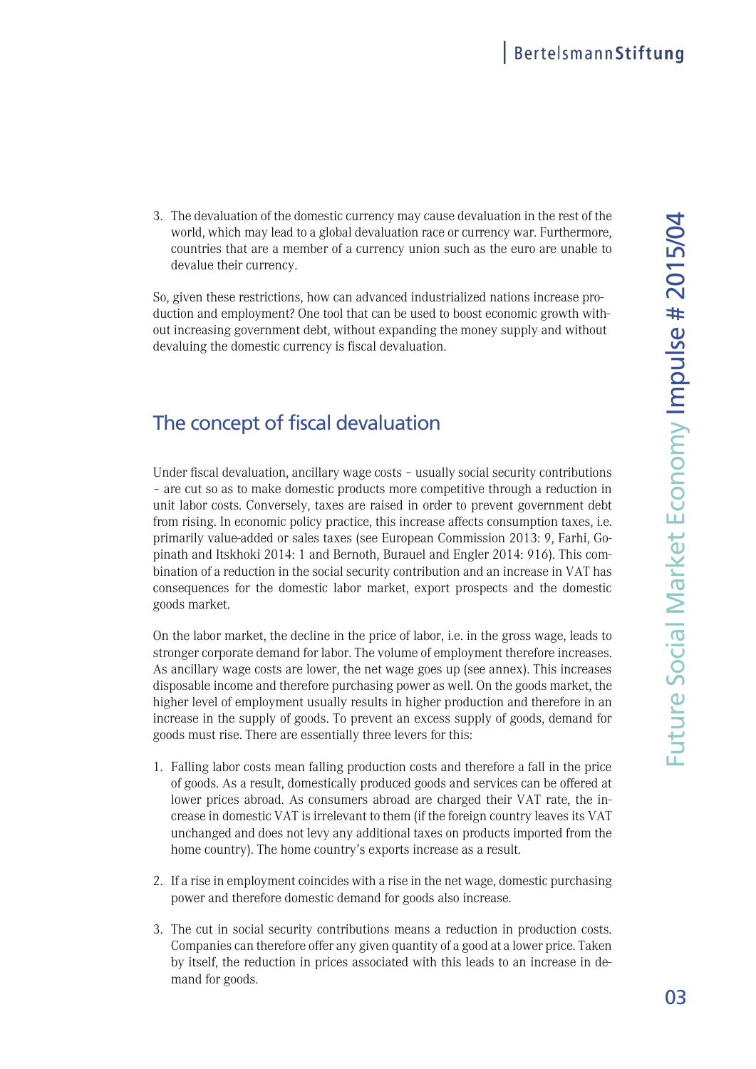3. The devaluation of the domestic currency may cause devaluation in the rest of the 4world, which may lead to a global devaluation race or currency war. Furthermore, countries that are a member of a currency union such as the euro are unable to devalue their currency.

So, given these restrictions, how can advanced industrialized nations increase production and employment? One tool that can be used to boost economic growth without increasing government debt, without expanding the money supply and without devaluing the domestic currency is fiscal devaluation.

# The concept of fiscal devaluation

Under fiscal devaluation, ancillary wage costs – usually social security contributions – are cut so as to make domestic products more competitive through a reduction in unit labor costs. Conversely, taxes are raised in order to prevent government debt from rising. In economic policy practice, this increase affects consumption taxes, i.e. primarily value-added or sales taxes (see European Commission 2013: 9, Farhi, Gopinath and Itskhoki 2014: 1 and Bernoth, Burauel and Engler 2014: 916). This combination of a reduction in the social security contribution and an increase in VAT has consequences for the domestic labor market, export prospects and the domestic goods market.

On the labor market, the decline in the price of labor, i.e. in the gross wage, leads to stronger corporate demand for labor. The volume of employment therefore increases. As ancillary wage costs are lower, the net wage goes up (see annex). This increases disposable income and therefore purchasing power as well. On the goods market, the higher level of employment usually results in higher production and therefore in an increase in the supply of goods. To prevent an excess supply of goods, demand for goods must rise. There are essentially three levers for this:

- 1. Falling labor costs mean falling production costs and therefore a fall in the price of goods. As a result, domestically produced goods and services can be offered at lower prices abroad. As consumers abroad are charged their VAT rate, the increase in domestic VAT is irrelevant to them (if the foreign country leaves its VAT unchanged and does not levy any additional taxes on products imported from the home country). The home country's exports increase as a result.
- 2. If a rise in employment coincides with a rise in the net wage, domestic purchasing power and therefore domestic demand for goods also increase.
- 3. The cut in social security contributions means a reduction in production costs. Companies can therefore offer any given quantity of a good at a lower price. Taken by itself, the reduction in prices associated with this leads to an increase in demand for goods.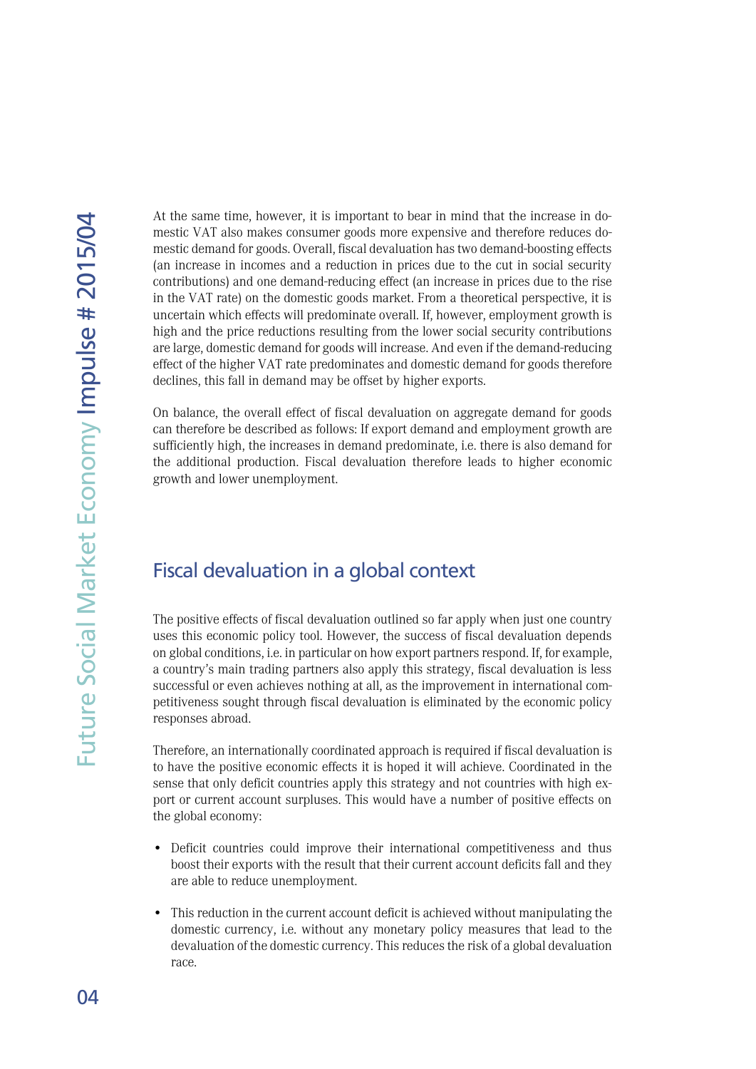At the same time, however, it is important to bear in mind that the increase in domestic VAT also makes consumer goods more expensive and therefore reduces domestic demand for goods. Overall, fiscal devaluation has two demand-boosting effects (an increase in incomes and a reduction in prices due to the cut in social security contributions) and one demand-reducing effect (an increase in prices due to the rise in the VAT rate) on the domestic goods market. From a theoretical perspective, it is uncertain which effects will predominate overall. If, however, employment growth is high and the price reductions resulting from the lower social security contributions are large, domestic demand for goods will increase. And even if the demand-reducing effect of the higher VAT rate predominates and domestic demand for goods therefore declines, this fall in demand may be offset by higher exports.

On balance, the overall effect of fiscal devaluation on aggregate demand for goods can therefore be described as follows: If export demand and employment growth are sufficiently high, the increases in demand predominate, i.e. there is also demand for the additional production. Fiscal devaluation therefore leads to higher economic growth and lower unemployment.

## Fiscal devaluation in a global context

The positive effects of fiscal devaluation outlined so far apply when just one country uses this economic policy tool. However, the success of fiscal devaluation depends on global conditions, i.e. in particular on how export partners respond. If, for example, a country's main trading partners also apply this strategy, fiscal devaluation is less successful or even achieves nothing at all, as the improvement in international competitiveness sought through fiscal devaluation is eliminated by the economic policy responses abroad.

Therefore, an internationally coordinated approach is required if fiscal devaluation is to have the positive economic effects it is hoped it will achieve. Coordinated in the sense that only deficit countries apply this strategy and not countries with high export or current account surpluses. This would have a number of positive effects on the global economy:

- Deficit countries could improve their international competitiveness and thus boost their exports with the result that their current account deficits fall and they are able to reduce unemployment.
- This reduction in the current account deficit is achieved without manipulating the domestic currency, i.e. without any monetary policy measures that lead to the devaluation of the domestic currency. This reduces the risk of a global devaluation race.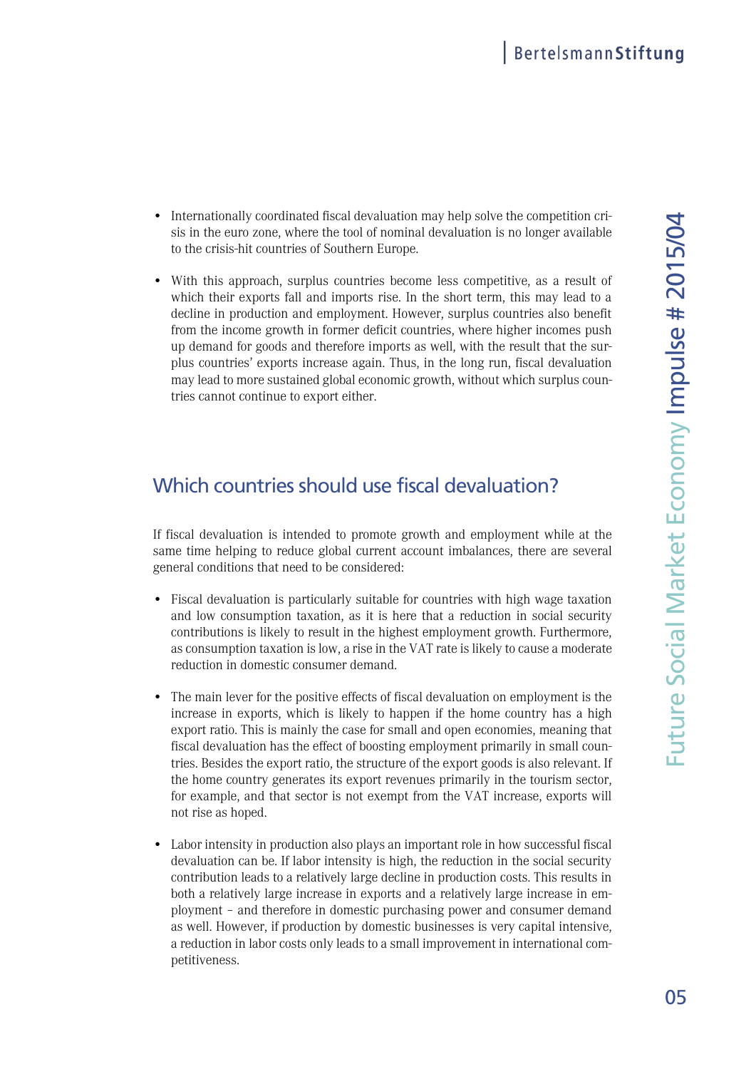- Internationally coordinated fiscal devaluation may help solve the competition crisis in the euro zone, where the tool of nominal devaluation is no longer available to the crisis-hit countries of Southern Europe.
- With this approach, surplus countries become less competitive, as a result of which their exports fall and imports rise. In the short term, this may lead to a decline in production and employment. However, surplus countries also benefit from the income growth in former deficit countries, where higher incomes push up demand for goods and therefore imports as well, with the result that the surplus countries' exports increase again. Thus, in the long run, fiscal devaluation may lead to more sustained global economic growth, without which surplus countries cannot continue to export either.

# Which countries should use fiscal devaluation?

If fiscal devaluation is intended to promote growth and employment while at the same time helping to reduce global current account imbalances, there are several general conditions that need to be considered:

- Fiscal devaluation is particularly suitable for countries with high wage taxation and low consumption taxation, as it is here that a reduction in social security contributions is likely to result in the highest employment growth. Furthermore, as consumption taxation is low, a rise in the VAT rate is likely to cause a moderate reduction in domestic consumer demand.
- The main lever for the positive effects of fiscal devaluation on employment is the increase in exports, which is likely to happen if the home country has a high export ratio. This is mainly the case for small and open economies, meaning that fiscal devaluation has the effect of boosting employment primarily in small countries. Besides the export ratio, the structure of the export goods is also relevant. If the home country generates its export revenues primarily in the tourism sector, for example, and that sector is not exempt from the VAT increase, exports will not rise as hoped.
- Labor intensity in production also plays an important role in how successful fiscal devaluation can be. If labor intensity is high, the reduction in the social security contribution leads to a relatively large decline in production costs. This results in both a relatively large increase in exports and a relatively large increase in employment – and therefore in domestic purchasing power and consumer demand as well. However, if production by domestic businesses is very capital intensive, a reduction in labor costs only leads to a small improvement in international competitiveness.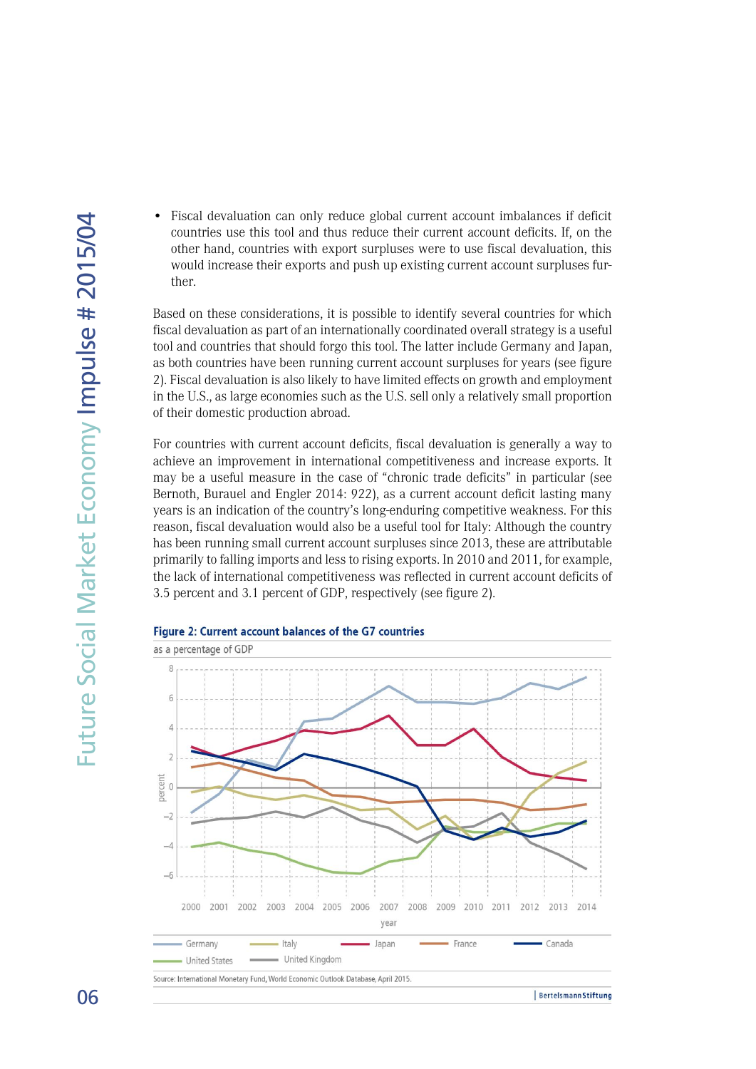• Fiscal devaluation can only reduce global current account imbalances if deficit countries use this tool and thus reduce their current account deficits. If, on the other hand, countries with export surpluses were to use fiscal devaluation, this would increase their exports and push up existing current account surpluses further.

Based on these considerations, it is possible to identify several countries for which fiscal devaluation as part of an internationally coordinated overall strategy is a useful tool and countries that should forgo this tool. The latter include Germany and Japan, as both countries have been running current account surpluses for years (see figure 2). Fiscal devaluation is also likely to have limited effects on growth and employment in the U.S., as large economies such as the U.S. sell only a relatively small proportion of their domestic production abroad.

For countries with current account deficits, fiscal devaluation is generally a way to achieve an improvement in international competitiveness and increase exports. It may be a useful measure in the case of "chronic trade deficits" in particular (see Bernoth, Burauel and Engler 2014: 922), as a current account deficit lasting many years is an indication of the country's long-enduring competitive weakness. For this reason, fiscal devaluation would also be a useful tool for Italy: Although the country has been running small current account surpluses since 2013, these are attributable primarily to falling imports and less to rising exports. In 2010 and 2011, for example, the lack of international competitiveness was reflected in current account deficits of 3.5 percent and 3.1 percent of GDP, respectively (see figure 2).



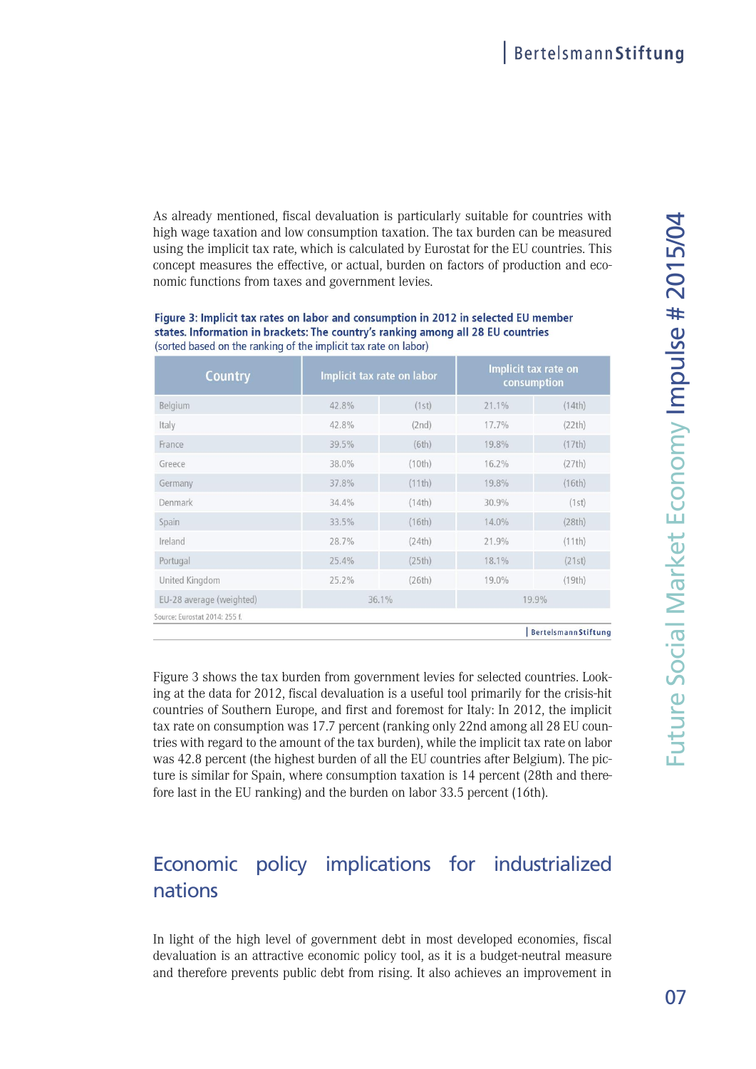As already mentioned, fiscal devaluation is particularly suitable for countries with 4high wage taxation and low consumption taxation. The tax burden can be measured using the implicit tax rate, which is calculated by Eurostat for the EU countries. This concept measures the effective, or actual, burden on factors of production and economic functions from taxes and government levies.

#### Figure 3: Implicit tax rates on labor and consumption in 2012 in selected EU member states. Information in brackets: The country's ranking among all 28 EU countries (sorted based on the ranking of the implicit tax rate on labor)

| <b>Country</b>                | Implicit tax rate on labor |        | Implicit tax rate on<br>consumption |                            |
|-------------------------------|----------------------------|--------|-------------------------------------|----------------------------|
| Belgium                       | 42.8%                      | (1st)  | 21.1%                               | (14th)                     |
| Italy                         | 42.8%                      | (2nd)  | 17.7%                               | (22th)                     |
| France                        | 39.5%                      | (6th)  | 19.8%                               | (17th)                     |
| Greece                        | 38.0%                      | (10th) | 16.2%                               | (27th)                     |
| Germany                       | 37.8%                      | (11th) | 19.8%                               | (16th)                     |
| Denmark                       | 34.4%                      | (14th) | 30.9%                               | (1st)                      |
| Spain                         | 33.5%                      | (16th) | 14.0%                               | (28th)                     |
| Ireland                       | 28.7%                      | (24th) | 21.9%                               | (11th)                     |
| Portugal                      | 25.4%                      | (25th) | 18.1%                               | (21st)                     |
| United Kingdom                | 25.2%                      | (26th) | 19.0%                               | (19th)                     |
| EU-28 average (weighted)      | 36.1%                      |        | 19.9%                               |                            |
| Source: Eurostat 2014: 255 f. |                            |        |                                     |                            |
|                               |                            |        |                                     | <b>BertelsmannStiftung</b> |

Figure 3 shows the tax burden from government levies for selected countries. Looking at the data for 2012, fiscal devaluation is a useful tool primarily for the crisis-hit countries of Southern Europe, and first and foremost for Italy: In 2012, the implicit tax rate on consumption was 17.7 percent (ranking only 22nd among all 28 EU countries with regard to the amount of the tax burden), while the implicit tax rate on labor was 42.8 percent (the highest burden of all the EU countries after Belgium). The picture is similar for Spain, where consumption taxation is 14 percent (28th and therefore last in the EU ranking) and the burden on labor 33.5 percent (16th).

# Economic policy implications for industrialized nations

In light of the high level of government debt in most developed economies, fiscal devaluation is an attractive economic policy tool, as it is a budget-neutral measure and therefore prevents public debt from rising. It also achieves an improvement in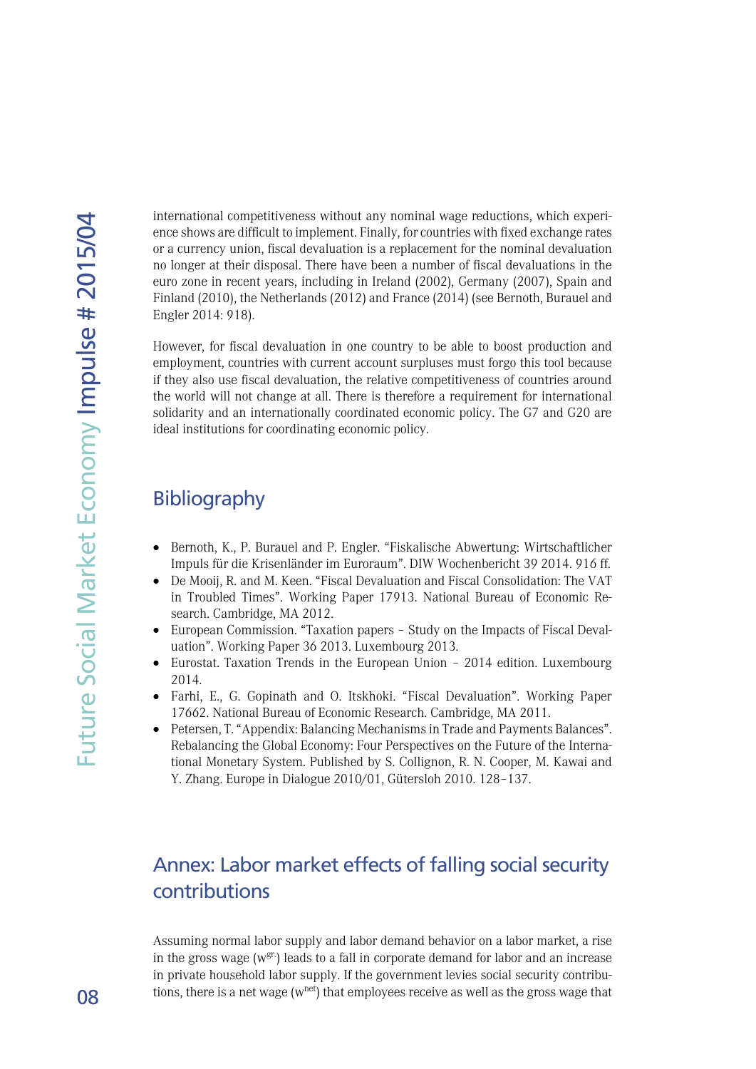international competitiveness without any nominal wage reductions, which experience shows are difficult to implement. Finally, for countries with fixed exchange rates or a currency union, fiscal devaluation is a replacement for the nominal devaluation no longer at their disposal. There have been a number of fiscal devaluations in the euro zone in recent years, including in Ireland (2002), Germany (2007), Spain and Finland (2010), the Netherlands (2012) and France (2014) (see Bernoth, Burauel and Engler 2014: 918).

However, for fiscal devaluation in one country to be able to boost production and employment, countries with current account surpluses must forgo this tool because if they also use fiscal devaluation, the relative competitiveness of countries around the world will not change at all. There is therefore a requirement for international solidarity and an internationally coordinated economic policy. The G7 and G20 are ideal institutions for coordinating economic policy.

### Bibliography

- Bernoth, K., P. Burauel and P. Engler. "Fiskalische Abwertung: Wirtschaftlicher Impuls für die Krisenländer im Euroraum". DIW Wochenbericht 39 2014. 916 ff.
- De Mooij, R. and M. Keen. "Fiscal Devaluation and Fiscal Consolidation: The VAT in Troubled Times". Working Paper 17913. National Bureau of Economic Research. Cambridge, MA 2012.
- European Commission. "Taxation papers Study on the Impacts of Fiscal Devaluation". Working Paper 36 2013. Luxembourg 2013.
- Eurostat. Taxation Trends in the European Union 2014 edition. Luxembourg 2014.
- Farhi, E., G. Gopinath and O. Itskhoki. "Fiscal Devaluation". Working Paper 17662. National Bureau of Economic Research. Cambridge, MA 2011.
- Petersen, T. "Appendix: Balancing Mechanisms in Trade and Payments Balances". Rebalancing the Global Economy: Four Perspectives on the Future of the International Monetary System. Published by S. Collignon, R. N. Cooper, M. Kawai and Y. Zhang. Europe in Dialogue 2010/01, Gütersloh 2010. 128–137.

# Annex: Labor market effects of falling social security contributions

Assuming normal labor supply and labor demand behavior on a labor market, a rise in the gross wage ( $w^{gr}$ ) leads to a fall in corporate demand for labor and an increase in private household labor supply. If the government levies social security contributions, there is a net wage  $(w<sup>net</sup>)$  that employees receive as well as the gross wage that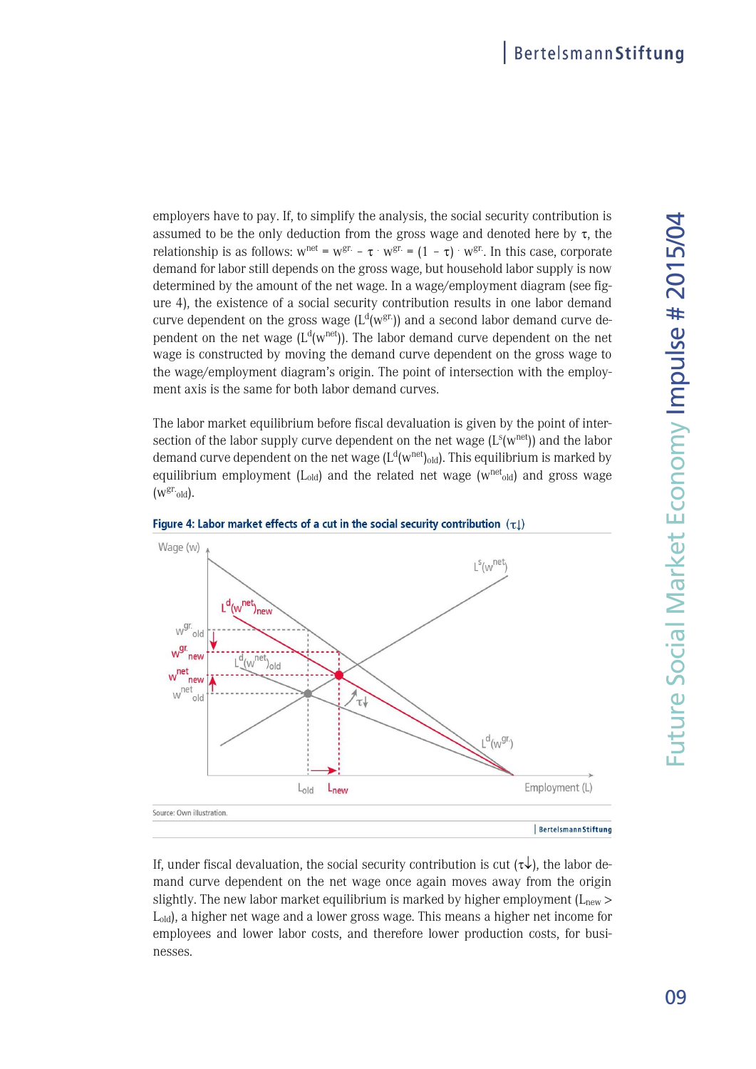employers have to pay. If, to simplify the analysis, the social security contribution is 4assumed to be the only deduction from the gross wage and denoted here by  $\tau$ , the relationship is as follows:  $w^{net} = w^{gr.} - \tau \cdot w^{gr.} = (1 - \tau) \cdot w^{gr.}$  In this case, corporate demand for labor still depends on the gross wage, but household labor supply is now determined by the amount of the net wage. In a wage/employment diagram (see figure 4), the existence of a social security contribution results in one labor demand curve dependent on the gross wage  $(L^{d}(w^{gr}))$  and a second labor demand curve dependent on the net wage  $(L^{d}(w^{net}))$ . The labor demand curve dependent on the net wage is constructed by moving the demand curve dependent on the gross wage to the wage/employment diagram's origin. The point of intersection with the employment axis is the same for both labor demand curves.

The labor market equilibrium before fiscal devaluation is given by the point of intersection of the labor supply curve dependent on the net wage  $(L<sup>s</sup>(w<sup>net</sup>))$  and the labor demand curve dependent on the net wage (L $\rm ^d(w^{net})_{old}$ ). This equilibrium is marked by equilibrium employment (L<sub>old</sub>) and the related net wage ( $w^{net}$ <sub>old</sub>) and gross wage  $(w^{gr.}_{old}).$ 





If, under fiscal devaluation, the social security contribution is cut  $(\tau \downarrow)$ , the labor demand curve dependent on the net wage once again moves away from the origin slightly. The new labor market equilibrium is marked by higher employment ( $L<sub>new</sub>$ ) Lold), a higher net wage and a lower gross wage. This means a higher net income for employees and lower labor costs, and therefore lower production costs, for businesses.